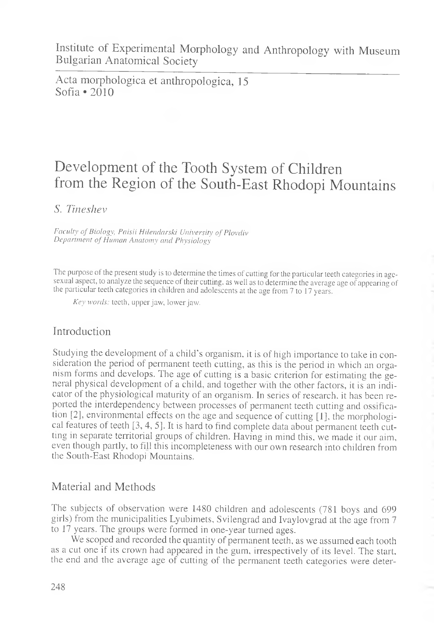Acta morphologica et anthropologica, 15 Sofia • 2010

# Development of the Tooth System of Children from the Region of the South-East Rhodopi Mountains

*S. Tineshev*

Faculty of Biology, Paisii Hilendarski University of Plovdiv *Department o f Human Anatomy and Physiology*

The purpose of the present study is to determine the times of cutting for the particular teeth categories in agesexual aspect, to analyze the sequence of their cutting, as well as to determine the average age of appearing of the particular teeth categories in children and adolescents at the age from 7 to 17 years.

*Key words:* teeth, upper jaw, lower jaw.

## Introduction

Studying the development of a child's organism, it is of high importance to take in consideration the period of permanent teeth cutting, as this is the period in which an organism forms and develops. The age of cutting is a basic criterion for estimating the general physical development of a child, and together with the other factors, it is an indicator of the physiological maturity of an organism. In series of research, it has been reported the interdependency between processes of permanent teeth cutting and ossification [2], environmental effects on the age and sequence of cutting [1], the morphological features of teeth [3, 4, 5]. It is hard to find complete data about permanent teeth cutting in separate territorial groups of children. Having in mind this, we made it our aim, even though partly, to fill this incompleteness with our own research into children from the South-East Rhodopi Mountains.

## Material and Methods

The subjects of observation were 1480 children and adolescents (781 boys and 699 girls) from the municipalities Lyubimets, Svilengrad and Ivaylovgrad at the age from 7 to 17 years. The groups were formed in one-year turned ages.

We scoped and recorded the quantity of permanent teeth, as we assumed each tooth as a cut one if its crown had appeared in the gum, irrespectively of its level. The start, the end and the average age of cutting of the permanent teeth categories were deter-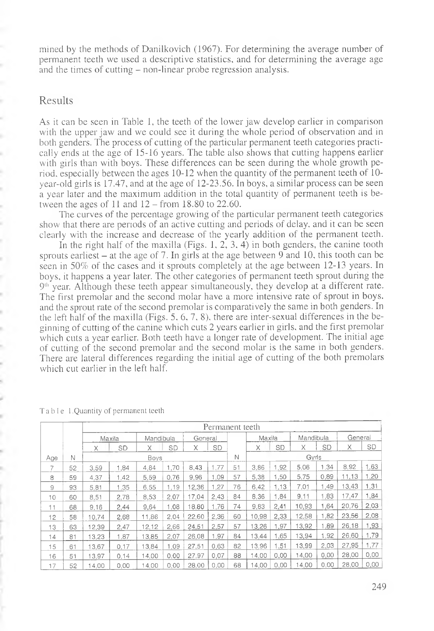mined by the methods of Danilkovich (1967). For determining the average number of permanent teeth we used a descriptive statistics, and for determining the average age and the times of cutting – non-linear probe regression analysis.

#### Results

í. b. As it can be seen in Table 1, the teeth of the lower jaw develop earlier in comparison with the upper jaw and we could see it during the whole period of observation and in both genders. The process of cutting of the particular permanent teeth categories practically ends at the age of 15-16 years. The table also shows that cutting happens earlier with girls than with boys. These differences can be seen during the whole growth period, especially between the ages 10-12 when the quantity of the permanent teeth of 10 year-old girls is 17.47, and at the age of 12-23.56. In boys, a similar process can be seen a year later and the maximum addition in the total quantity of permanent teeth is between the ages of  $11$  and  $12$  – from 18.80 to 22.60.

The curves of the percentage growing of the particular permanent teeth categories show that there are periods of an active cutting and periods of delay, and it can be seen clearly with the increase and decrease of the yearly addition of the permanent teeth.

In the right half of the maxilla (Figs. 1, 2, 3. 4) in both genders, the canine tooth sprouts earliest  $-$  at the age of 7. In girls at the age between 9 and 10, this tooth can be seen in 50% of the cases and it sprouts completely at the age between 12-13 years. In boys, it happens a year later. The other categories of permanent teeth sprout during the  $9<sup>th</sup>$  year. Although these teeth appear simultaneously, they develop at a different rate. The first premolar and the second molar have a more intensive rate of sprout in boys, and the sprout rate of the second premolar is comparatively the same in both genders. In the left half of the maxilla (Figs. 5, 6, 7, 8), there are inter-sexual differences in the beginning of cutting of the canine which cuts 2 years earlier in girls, and the first premolar which cuts a year earlier. Both teeth have a longer rate of development. The initial age of cutting of the second premolar and the second molar is the same in both genders. There are lateral differences regarding the initial age of cutting of the both premolars which cut earlier in the left half.

|                |    | Permanent teeth |      |           |      |         |      |       |        |           |           |      |         |      |
|----------------|----|-----------------|------|-----------|------|---------|------|-------|--------|-----------|-----------|------|---------|------|
|                |    | Maxila          |      | Mandibula |      | General |      |       | Maxila |           | Mandibula |      | General |      |
|                |    | Χ               | SD   | Χ         | SD   | X       | SD   |       | Χ      | <b>SD</b> | X         | SD   | X       | SD   |
| Age            | Ν  | <b>Boys</b>     |      |           |      |         | N    | Gyrls |        |           |           |      |         |      |
|                | 52 | 3.59            | 1.84 | 4.84      | 1.70 | 8.43    | 1,77 | 51    | 3.86   | 1,92      | 5.06      | 1.34 | 8.92    | 1.63 |
| 8              | 59 | 4,37            | 1.42 | 5,59      | 0,76 | 9.96    | 1.09 | 57    | 5,38   | 1,50      | 5.75      | 0.89 | 11.13   | .20  |
| $\overline{9}$ | 93 | 5.81            | 1.35 | 6.55      | 1,19 | 12.36   | 1.27 | 76    | 6.42   | 1.13      | 7,01      | 1,49 | 13,43   | 1,31 |
| 10             | 60 | 8.51            | 2.78 | 8,53      | 2.07 | 17.04   | 2.43 | 84    | 8.36   | 1.84      | 9.11      | 1.83 | 17,47   | 1,84 |
| 11             | 68 | 9.16            | 2.44 | 9,64      | 1.08 | 18.80   | 1.76 | 74    | 9,83   | 2.41      | 10,93     | 1.64 | 20,76   | 2,03 |
| 12             | 58 | 10,74           | 2.68 | 11.86     | 2.04 | 22.60   | 2.36 | 60    | 10,98  | 2,33      | 12,58     | 1,82 | 23,56   | 2,08 |
| 13             | 63 | 12.39           | 2,47 | 12.12     | 2,66 | 24,51   | 2,57 | 57    | 13,26  | .97       | 13,92     | .89  | 26.18   | 1,93 |
| 14             | 81 | 13.23           | 1.87 | 13.85     | 2,07 | 26,08   | 1.97 | 84    | 13.44  | 1.65      | 13.94     | 1.92 | 26.60   | 1,79 |
| 15             | 61 | 13,67           | 0.17 | 13.84     | 1.09 | 27,51   | 0.63 | 82    | 13.96  | .51       | 13.99     | 2.03 | 27.95   | 1,77 |
| 16             | 51 | 13.97           | 0.14 | 14.00     | 0.00 | 27.97   | 0.07 | 88    | 14.00  | 0.00      | 14,00     | 0.00 | 28,00   | 0,00 |
| 17             | 52 | 4.00            | 0,00 | 4.00      | 0.00 | 28.00   | 0.00 | 68    | 4.00   | 0.00      | 4,00      | 0.00 | 28.00   | 0.00 |

Table 1.Quantity of permanent teeth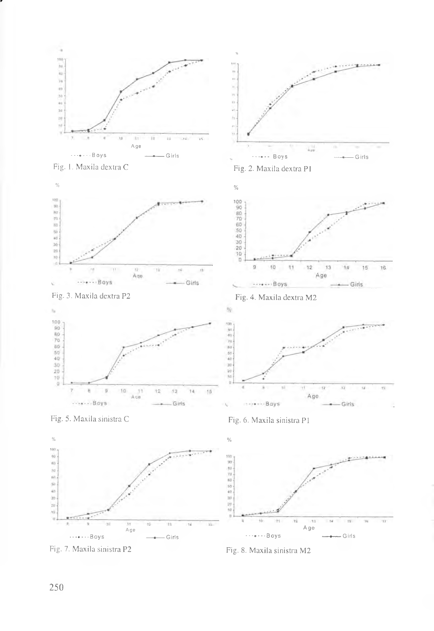

Fig. 1. Maxila dextra C

r







Fig. 2. Maxila dextra PI









 $\frac{1}{2}$ 









Fig. 8. Maxila sinistra M2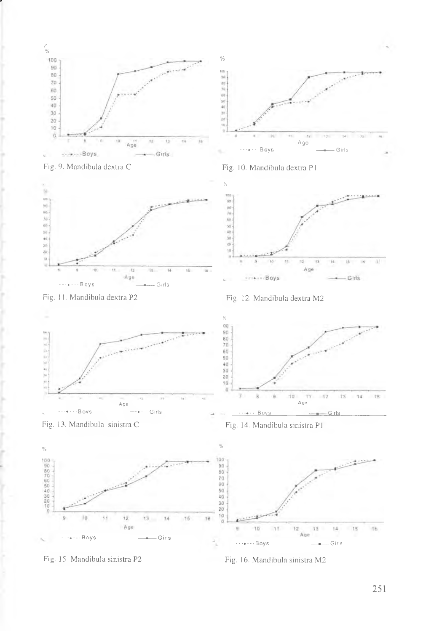



r







Fig. 11. Mandibula dextra P2 Fig. 12. Mandibula dextra M2



 $14$ 16 ١ë  $13<sub>1</sub>$ Age  $10^{-1}$  $\mathcal{A}$  $12$ 13  $15$  $16$  $\overline{9}$  $14$ Age **-•-♦--•Boys — -— Girls** ì. **---♦--•Boys — -— Girls**

Fig. 15. Mandibula sinistra P2 Fig. 16. Mandibula sinistra M2